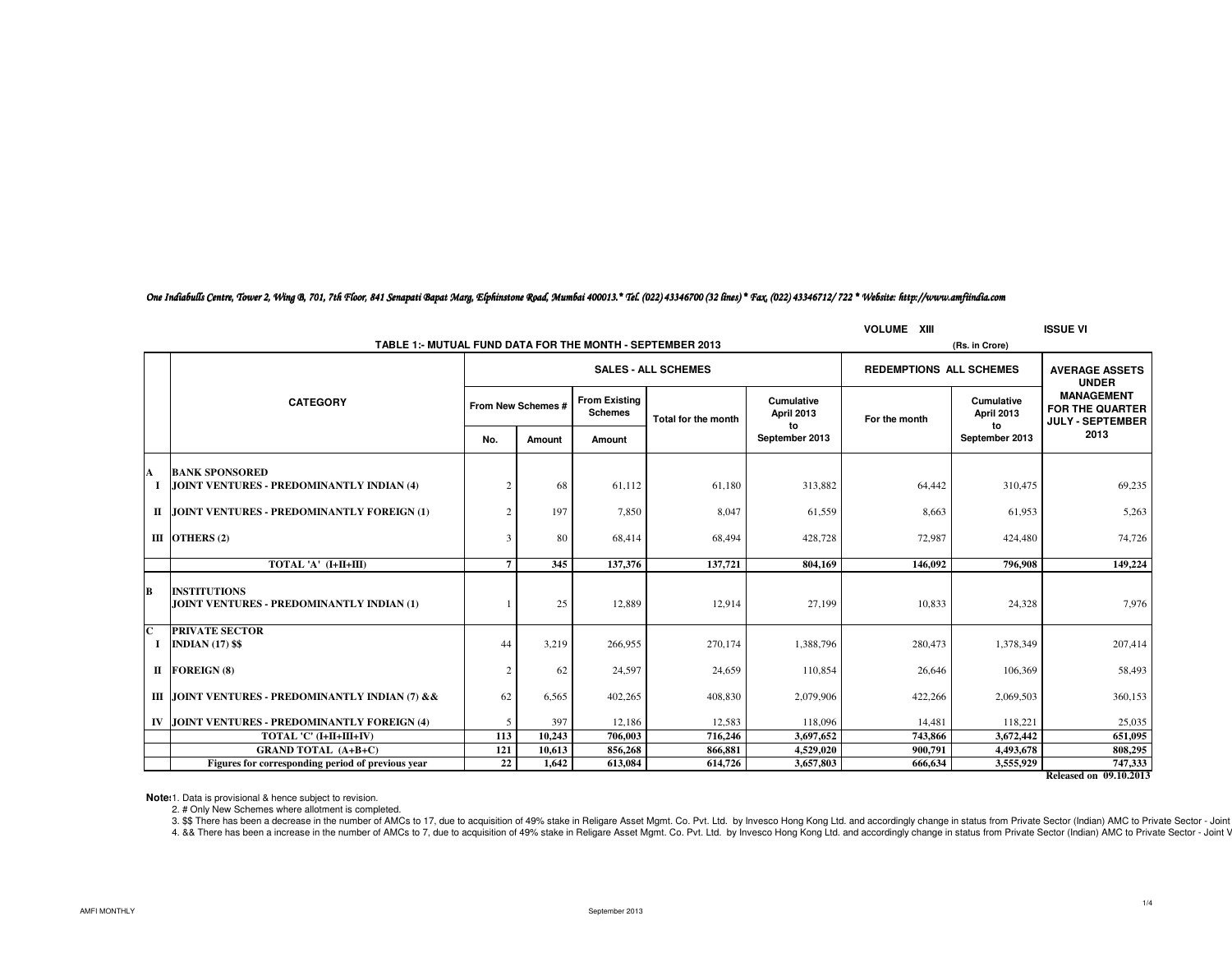### *One Indiabulls Centre, Tower 2, Wing B, 701, 7th Floor, 841 Senapati Bapat Marg, Elphinstone Road, Mumbai 400013.\* Tel. (022) 43346700 (32 lines) \* Fax. (022) 43346712/ 722 \* Website: http://www.amfiindia.com*

| <b>VOLUME XIII</b> |                                                                  |                |                    |                                        |                            |                                |                                |                                        | <b>ISSUE VI</b>                                                        |  |
|--------------------|------------------------------------------------------------------|----------------|--------------------|----------------------------------------|----------------------------|--------------------------------|--------------------------------|----------------------------------------|------------------------------------------------------------------------|--|
|                    | TABLE 1:- MUTUAL FUND DATA FOR THE MONTH - SEPTEMBER 2013        |                | (Rs. in Crore)     |                                        |                            |                                |                                |                                        |                                                                        |  |
|                    |                                                                  |                |                    |                                        | <b>SALES - ALL SCHEMES</b> |                                | <b>REDEMPTIONS ALL SCHEMES</b> |                                        | <b>AVERAGE ASSETS</b><br><b>UNDER</b>                                  |  |
|                    | <b>CATEGORY</b>                                                  |                | From New Schemes # | <b>From Existing</b><br><b>Schemes</b> | Total for the month        | Cumulative<br>April 2013<br>to | For the month                  | <b>Cumulative</b><br><b>April 2013</b> | <b>MANAGEMENT</b><br><b>FOR THE QUARTER</b><br><b>JULY - SEPTEMBER</b> |  |
|                    |                                                                  | No.            | Amount             | Amount                                 |                            | September 2013                 |                                | to<br>September 2013                   | 2013                                                                   |  |
| A                  | <b>BANK SPONSORED</b>                                            |                |                    |                                        |                            |                                |                                |                                        |                                                                        |  |
|                    | JOINT VENTURES - PREDOMINANTLY INDIAN (4)                        | $\overline{2}$ | 68                 | 61,112                                 | 61,180                     | 313,882                        | 64,442                         | 310,475                                | 69,235                                                                 |  |
|                    | II JOINT VENTURES - PREDOMINANTLY FOREIGN (1)                    | 2              | 197                | 7,850                                  | 8,047                      | 61,559                         | 8,663                          | 61,953                                 | 5,263                                                                  |  |
|                    | III OTHERS $(2)$                                                 | 3              | 80                 | 68.414                                 | 68.494                     | 428,728                        | 72,987                         | 424,480                                | 74,726                                                                 |  |
|                    | TOTAL 'A' (I+II+III)                                             | $\overline{7}$ | 345                | 137,376                                | 137,721                    | 804,169                        | 146.092                        | 796.908                                | 149,224                                                                |  |
| B                  | <b>INSTITUTIONS</b><br>JOINT VENTURES - PREDOMINANTLY INDIAN (1) |                | 25                 | 12.889                                 | 12.914                     | 27,199                         | 10.833                         | 24.328                                 | 7.976                                                                  |  |
| $\mathbf{C}$<br>-1 | <b>PRIVATE SECTOR</b><br><b>INDIAN (17) \$\$</b>                 | 44             | 3,219              | 266,955                                | 270.174                    | 1,388,796                      | 280,473                        | 1,378,349                              | 207,414                                                                |  |
|                    | II FOREIGN (8)                                                   | $\overline{2}$ | 62                 | 24,597                                 | 24,659                     | 110,854                        | 26,646                         | 106,369                                | 58,493                                                                 |  |
|                    | III JOINT VENTURES - PREDOMINANTLY INDIAN (7) & &                | 62             | 6,565              | 402.265                                | 408,830                    | 2,079,906                      | 422,266                        | 2.069.503                              | 360,153                                                                |  |
|                    | IV JOINT VENTURES - PREDOMINANTLY FOREIGN (4)                    | 5              | 397                | 12.186                                 | 12.583                     | 118,096                        | 14,481                         | 118.221                                | 25,035                                                                 |  |
|                    | TOTAL 'C' (I+II+III+IV)                                          | 113            | 10,243             | 706,003                                | 716,246                    | 3,697,652                      | 743,866                        | 3,672,442                              | 651.095                                                                |  |
|                    | <b>GRAND TOTAL (A+B+C)</b>                                       | 121            | 10,613             | 856,268                                | 866,881                    | 4,529,020                      | 900,791                        | 4,493,678                              | 808,295                                                                |  |
|                    | Figures for corresponding period of previous year                | 22             | 1.642              | 613,084                                | 614,726                    | 3,657,803                      | 666.634                        | 3,555,929                              | 747,333<br>Released on 09.10.2013                                      |  |

**Released on 09.10.2013**

**Note**:1. Data is provisional & hence subject to revision.

2. # Only New Schemes where allotment is completed.

3. \$\$ There has been a decrease in the number of AMCs to 17, due to acquisition of 49% stake in Religare Asset Mgmt. Co. Pvt. Ltd. by Invesco Hong Kong Ltd. and accordingly change in status from Private Sector (Indian) AMC 4. && There has been a increase in the number of AMCs to 7, due to acquisition of 49% stake in Religare Asset Mgmt. Co. Pvt. Ltd. by Invesco Hong Kong Ltd. and accordingly change in status from Private Sector (Indian) AMC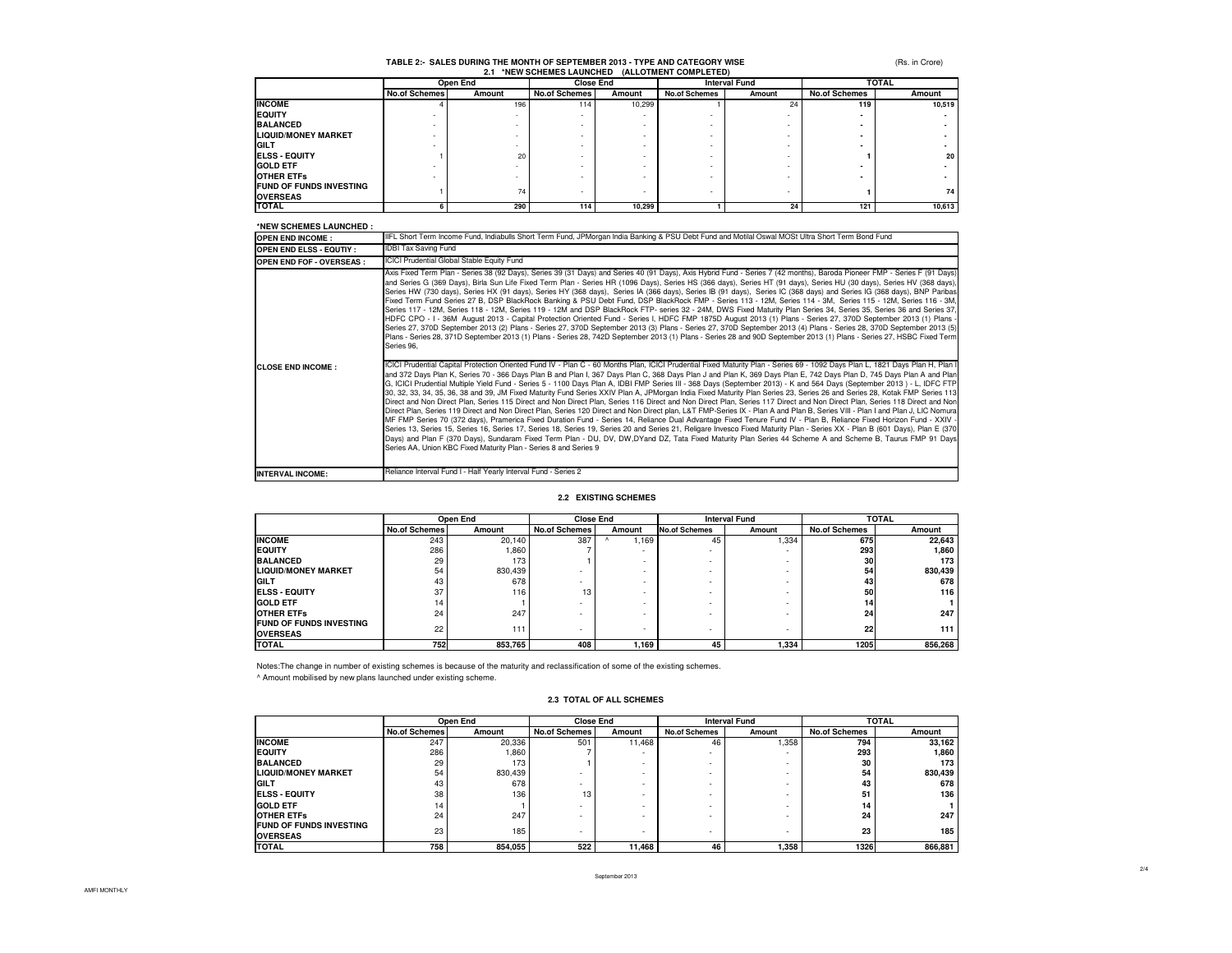#### **TABLE 2:- SALES DURING THE MONTH OF SEPTEMBER 2013 - TYPE AND CATEGORY WISE2.1 \*NEW SCHEMES LAUNCHED (ALLOTMENT COMPLETED)**

(Rs. in Crore)

|                                                   |                      | $\sim$   |                      |        | <b>NEW SUREWES LAUNURED (ALLUTWENT COMPLETED)</b> |        |                      |        |
|---------------------------------------------------|----------------------|----------|----------------------|--------|---------------------------------------------------|--------|----------------------|--------|
|                                                   |                      | Open End | <b>Close End</b>     |        | <b>Interval Fund</b>                              |        | <b>TOTAL</b>         |        |
|                                                   | <b>No.of Schemes</b> | Amount   | <b>No.of Schemes</b> | Amount | <b>No.of Schemes</b>                              | Amount | <b>No.of Schemes</b> | Amount |
| <b>INCOME</b>                                     |                      | 196      | 114                  | 10,299 |                                                   | 24     | 119                  | 10.519 |
| <b>EQUITY</b>                                     |                      |          |                      |        |                                                   |        |                      |        |
| <b>BALANCED</b>                                   |                      |          |                      |        |                                                   |        |                      |        |
| <b>LIQUID/MONEY MARKET</b>                        |                      |          |                      |        |                                                   |        |                      |        |
| <b>GILT</b>                                       |                      |          |                      |        |                                                   |        |                      |        |
| <b>IELSS - EQUITY</b>                             |                      | 20       |                      |        |                                                   |        |                      | 20     |
| <b>GOLD ETF</b>                                   |                      |          |                      |        |                                                   |        |                      |        |
| <b>OTHER ETFS</b>                                 |                      |          |                      |        |                                                   |        |                      |        |
| <b>FUND OF FUNDS INVESTING</b><br><b>OVERSEAS</b> |                      | 74       |                      |        |                                                   |        |                      | 74     |
| <b>TOTAL</b>                                      |                      | 290      | 114                  | 10,299 |                                                   | 24     | 121                  | 10,613 |

#### **\*NEW SCHEMES LAUNCHED :**

| ней эспемез саснопер .           |                                                                                                                                                                                                                                                                                                                                                                                                                                                                                                                                                                                                                                                                                                                                                                                                                                                                                                                                                                                                                                                                                                                                                                                                                                                                                                                                                                                                                                                                                                                                                                                                                                                                                                                                                                                                                                                                                                                                                                                                                                                                                                                                                                                                                                                                                                                                                                                                                                                                                                                                                                                                                                                                                                                                                                                                                                                                                                                                                                                                                                                                               |
|----------------------------------|-------------------------------------------------------------------------------------------------------------------------------------------------------------------------------------------------------------------------------------------------------------------------------------------------------------------------------------------------------------------------------------------------------------------------------------------------------------------------------------------------------------------------------------------------------------------------------------------------------------------------------------------------------------------------------------------------------------------------------------------------------------------------------------------------------------------------------------------------------------------------------------------------------------------------------------------------------------------------------------------------------------------------------------------------------------------------------------------------------------------------------------------------------------------------------------------------------------------------------------------------------------------------------------------------------------------------------------------------------------------------------------------------------------------------------------------------------------------------------------------------------------------------------------------------------------------------------------------------------------------------------------------------------------------------------------------------------------------------------------------------------------------------------------------------------------------------------------------------------------------------------------------------------------------------------------------------------------------------------------------------------------------------------------------------------------------------------------------------------------------------------------------------------------------------------------------------------------------------------------------------------------------------------------------------------------------------------------------------------------------------------------------------------------------------------------------------------------------------------------------------------------------------------------------------------------------------------------------------------------------------------------------------------------------------------------------------------------------------------------------------------------------------------------------------------------------------------------------------------------------------------------------------------------------------------------------------------------------------------------------------------------------------------------------------------------------------------|
| <b>OPEN END INCOME:</b>          | IIFL Short Term Income Fund, Indiabulls Short Term Fund, JPMorgan India Banking & PSU Debt Fund and Motilal Oswal MOSt Ultra Short Term Bond Fund                                                                                                                                                                                                                                                                                                                                                                                                                                                                                                                                                                                                                                                                                                                                                                                                                                                                                                                                                                                                                                                                                                                                                                                                                                                                                                                                                                                                                                                                                                                                                                                                                                                                                                                                                                                                                                                                                                                                                                                                                                                                                                                                                                                                                                                                                                                                                                                                                                                                                                                                                                                                                                                                                                                                                                                                                                                                                                                             |
| <b>OPEN END ELSS - EQUTIY :</b>  | <b>IDBI Tax Saving Fund</b>                                                                                                                                                                                                                                                                                                                                                                                                                                                                                                                                                                                                                                                                                                                                                                                                                                                                                                                                                                                                                                                                                                                                                                                                                                                                                                                                                                                                                                                                                                                                                                                                                                                                                                                                                                                                                                                                                                                                                                                                                                                                                                                                                                                                                                                                                                                                                                                                                                                                                                                                                                                                                                                                                                                                                                                                                                                                                                                                                                                                                                                   |
| <b>OPEN END FOF - OVERSEAS :</b> | ICICI Prudential Global Stable Equity Fund                                                                                                                                                                                                                                                                                                                                                                                                                                                                                                                                                                                                                                                                                                                                                                                                                                                                                                                                                                                                                                                                                                                                                                                                                                                                                                                                                                                                                                                                                                                                                                                                                                                                                                                                                                                                                                                                                                                                                                                                                                                                                                                                                                                                                                                                                                                                                                                                                                                                                                                                                                                                                                                                                                                                                                                                                                                                                                                                                                                                                                    |
| <b>CLOSE END INCOME:</b>         | Axis Fixed Term Plan - Series 38 (92 Days), Series 39 (31 Days) and Series 40 (91 Days), Axis Hybrid Fund - Series 7 (42 months), Baroda Pioneer FMP - Series F (91 Days)<br>and Series G (369 Days), Birla Sun Life Fixed Term Plan - Series HR (1096 Days), Series HS (366 days), Series HT (91 days), Series HU (30 days), Series HV (368 days),<br>Series HW (730 days), Series HX (91 days), Series HY (368 days), Series IA (366 days), Series IB (91 days), Series IC (368 days) and Series IG (368 days), BNP Paribas<br>Fixed Term Fund Series 27 B, DSP BlackRock Banking & PSU Debt Fund, DSP BlackRock FMP - Series 113 - 12M, Series 114 - 3M, Series 115 - 12M, Series 116 - 3M,<br>Series 117 - 12M, Series 118 - 12M, Series 119 - 12M and DSP BlackRock FTP- series 32 - 24M, DWS Fixed Maturity Plan Series 34, Series 35, Series 36 and Series 37,<br>HDFC CPO - I - 36M August 2013 - Capital Protection Oriented Fund - Series I, HDFC FMP 1875D August 2013 (1) Plans - Series 27, 370D September 2013 (1) Plans -<br>Series 27, 370D September 2013 (2) Plans - Series 27, 370D September 2013 (3) Plans - Series 27, 370D September 2013 (4) Plans - Series 28, 370D September 2013 (5)<br>Plans - Series 28, 371D September 2013 (1) Plans - Series 28, 742D September 2013 (1) Plans - Series 28 and 90D September 2013 (1) Plans - Series 27, HSBC Fixed Term<br>Series 96.<br>ICICI Prudential Capital Protection Oriented Fund IV - Plan C - 60 Months Plan, ICICI Prudential Fixed Maturity Plan - Series 69 - 1092 Days Plan L, 1821 Days Plan H, Plan I<br>and 372 Days Plan K, Series 70 - 366 Days Plan B and Plan I, 367 Days Plan C, 368 Days Plan J and Plan K, 369 Days Plan E, 742 Days Plan D, 745 Days Plan A and Plan<br>G. ICICI Prudential Multiple Yield Fund - Series 5 - 1100 Days Plan A, IDBI FMP Series III - 368 Days (September 2013) - K and 564 Days (September 2013) - L, IDFC FTP<br>30, 32, 33, 34, 35, 36, 38 and 39, JM Fixed Maturity Fund Series XXIV Plan A, JPMorgan India Fixed Maturity Plan Series 23, Series 26 and Series 28, Kotak FMP Series 113<br>Direct and Non Direct Plan, Series 115 Direct and Non Direct Plan, Series 116 Direct and Non Direct Plan, Series 117 Direct and Non Direct Plan, Series 118 Direct and Non<br>Direct Plan, Series 119 Direct and Non Direct Plan, Series 120 Direct and Non Direct plan, L&T FMP-Series IX - Plan A and Plan B, Series VIII - Plan I and Plan J, LIC Nomura<br>MF FMP Series 70 (372 days), Pramerica Fixed Duration Fund - Series 14, Reliance Dual Advantage Fixed Tenure Fund IV - Plan B, Reliance Fixed Horizon Fund - XXIV -<br>Series 13, Series 15, Series 16, Series 17, Series 18, Series 19, Series 20 and Series 21, Religare Invesco Fixed Maturity Plan - Series XX - Plan B (601 Days), Plan E (370<br>Days) and Plan F (370 Days), Sundaram Fixed Term Plan - DU, DV, DW,DYand DZ, Tata Fixed Maturity Plan Series 44 Scheme A and Scheme B, Taurus FMP 91 Days<br>Series AA, Union KBC Fixed Maturity Plan - Series 8 and Series 9 |
| <b>INTERVAL INCOME:</b>          | Reliance Interval Fund I - Half Yearly Interval Fund - Series 2                                                                                                                                                                                                                                                                                                                                                                                                                                                                                                                                                                                                                                                                                                                                                                                                                                                                                                                                                                                                                                                                                                                                                                                                                                                                                                                                                                                                                                                                                                                                                                                                                                                                                                                                                                                                                                                                                                                                                                                                                                                                                                                                                                                                                                                                                                                                                                                                                                                                                                                                                                                                                                                                                                                                                                                                                                                                                                                                                                                                               |

#### **2.2 EXISTING SCHEMES**

|                                | Open End             |         | <b>Close End</b>     |                          | <b>Interval Fund</b> |        | <b>TOTAL</b>         |         |
|--------------------------------|----------------------|---------|----------------------|--------------------------|----------------------|--------|----------------------|---------|
|                                | <b>No.of Schemes</b> | Amount  | <b>No.of Schemes</b> | Amount                   | <b>No.of Schemes</b> | Amount | <b>No.of Schemes</b> | Amount  |
| <b>INCOME</b>                  | 243                  | 20.140  | 387                  | .169                     | 45                   | 1,334  | 675                  | 22.643  |
| <b>IEQUITY</b>                 | 286                  | ,860    |                      | ٠                        |                      | ۰      | 293                  | 1,860   |
| <b>BALANCED</b>                | 29                   | 173     |                      | $\overline{\phantom{a}}$ |                      | ۰      | 30                   | 173     |
| <b>LIQUID/MONEY MARKET</b>     | 54                   | 830,439 |                      | $\overline{\phantom{a}}$ |                      |        | 54                   | 830,439 |
| <b>GILT</b>                    | 43                   | 678     |                      | $\overline{\phantom{a}}$ |                      |        | 43                   | 678     |
| <b>ELSS - EQUITY</b>           | 37                   | 116     | 13                   | $\overline{\phantom{a}}$ |                      | ۰      | 50                   | 116     |
| <b>GOLD ETF</b>                | 14                   |         |                      |                          |                      | ۰      | 14                   |         |
| <b>OTHER ETFS</b>              | 24                   | 247     |                      |                          |                      |        | 24                   | 247     |
| <b>FUND OF FUNDS INVESTING</b> | 22                   | 111     |                      |                          |                      |        | 22                   | 111     |
| <b>OVERSEAS</b>                |                      |         |                      | $\overline{\phantom{a}}$ |                      |        |                      |         |
| <b>TOTAL</b>                   | 752                  | 853,765 | 408                  | 1,169                    | 45                   | 1,334  | 1205                 | 856,268 |

Notes:The change in number of existing schemes is because of the maturity and reclassification of some of the existing schemes.^ Amount mobilised by new plans launched under existing scheme.

|                                | Open End             |         | <b>Close End</b>     |        | <b>Interval Fund</b> |        | <b>TOTAL</b>         |         |
|--------------------------------|----------------------|---------|----------------------|--------|----------------------|--------|----------------------|---------|
|                                | <b>No.of Schemes</b> | Amount  | <b>No.of Schemes</b> | Amount | <b>No.of Schemes</b> | Amount | <b>No.of Schemes</b> | Amount  |
| <b>INCOME</b>                  | 247                  | 20.336  | 501                  | 11.468 | 46                   | 1,358  | 794                  | 33.162  |
| <b>IEQUITY</b>                 | 286                  | 1.860   |                      |        | ۰                    | ۰      | 293                  | 1.860   |
| <b>BALANCED</b>                | 29                   | 173     |                      |        |                      | ۰      | 30                   | 173     |
| <b>LIQUID/MONEY MARKET</b>     | 54                   | 830.439 |                      |        |                      | ۰      | 54                   | 830.439 |
| GILT                           | 43                   | 678     |                      |        | $\sim$               | ٠      | 43                   | 678     |
| <b>ELSS - EQUITY</b>           | 38                   | 136     | 13                   |        | ٠                    | ٠      | 51                   | 136     |
| <b>GOLD ETF</b>                | 14                   |         |                      |        | $\sim$               | ٠      | 14                   |         |
| <b>OTHER ETFS</b>              | 24                   | 247     |                      |        | $\sim$               | $\sim$ | 24                   | 247     |
| <b>FUND OF FUNDS INVESTING</b> | 23                   | 185     | ۰                    |        |                      | ۰      | 23                   | 185     |
| <b>OVERSEAS</b>                |                      |         |                      |        |                      |        |                      |         |
| <b>TOTAL</b>                   | 758                  | 854,055 | 522                  | 11.468 | 46                   | 1,358  | 1326                 | 866,881 |

#### **2.3 TOTAL OF ALL SCHEMES**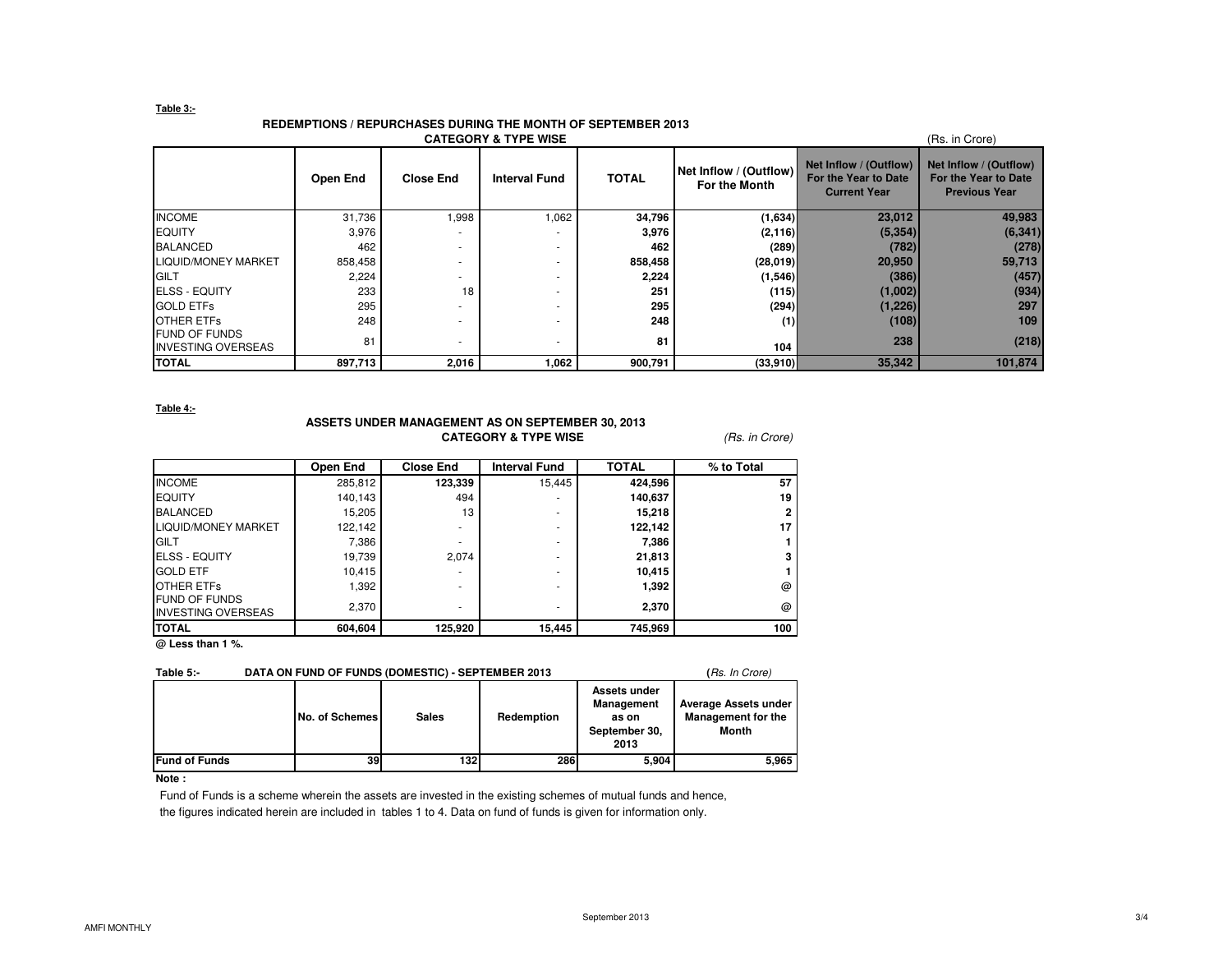#### **Table 3:-**

#### **REDEMPTIONS / REPURCHASES DURING THE MONTH OF SEPTEMBER 2013**

| <b>CATEGORY &amp; TYPE WISE</b><br>(Rs. in Crore)  |          |                  |                      |              |                                         |                                                                       |                                                                        |  |  |
|----------------------------------------------------|----------|------------------|----------------------|--------------|-----------------------------------------|-----------------------------------------------------------------------|------------------------------------------------------------------------|--|--|
|                                                    | Open End | <b>Close End</b> | <b>Interval Fund</b> | <b>TOTAL</b> | Net Inflow / (Outflow)<br>For the Month | Net Inflow / (Outflow)<br>For the Year to Date<br><b>Current Year</b> | Net Inflow / (Outflow)<br>For the Year to Date<br><b>Previous Year</b> |  |  |
| <b>INCOME</b>                                      | 31,736   | 1,998            | 1,062                | 34,796       | (1,634)                                 | 23,012                                                                | 49,983                                                                 |  |  |
| <b>EQUITY</b>                                      | 3,976    |                  |                      | 3,976        | (2, 116)                                | (5, 354)                                                              | (6, 341)                                                               |  |  |
| <b>BALANCED</b>                                    | 462      |                  | $\sim$               | 462          | (289)                                   | (782)                                                                 | (278)                                                                  |  |  |
| <b>LIQUID/MONEY MARKET</b>                         | 858,458  |                  | $\sim$               | 858,458      | (28,019)                                | 20,950                                                                | 59,713                                                                 |  |  |
| GILT                                               | 2,224    |                  | $\sim$               | 2,224        | (1,546)                                 | (386)                                                                 | (457)                                                                  |  |  |
| <b>ELSS - EQUITY</b>                               | 233      | 18               | $\sim$               | 251          | (115)                                   | (1,002)                                                               | (934)                                                                  |  |  |
| <b>GOLD ETFs</b>                                   | 295      |                  |                      | 295          | (294)                                   | (1,226)                                                               | 297                                                                    |  |  |
| <b>OTHER ETFS</b>                                  | 248      |                  | $\sim$               | 248          | (1)                                     | (108)                                                                 | 109                                                                    |  |  |
| <b>IFUND OF FUNDS</b><br><b>INVESTING OVERSEAS</b> | 81       |                  | $\sim$               | 81           | 104                                     | 238                                                                   | (218)                                                                  |  |  |
| <b>TOTAL</b>                                       | 897,713  | 2,016            | 1,062                | 900,791      | (33,910)                                | 35,342                                                                | 101,874                                                                |  |  |

**Table 4:-**

## **ASSETS UNDER MANAGEMENT AS ON SEPTEMBER 30, 2013CATEGORY & TYPE WISE** (Rs. in Crore)

|                                                   | Open End | <b>Close End</b> | <b>Interval Fund</b> | <b>TOTAL</b> | % to Total |
|---------------------------------------------------|----------|------------------|----------------------|--------------|------------|
| <b>INCOME</b>                                     | 285,812  | 123,339          | 15,445               | 424,596      | 57         |
| <b>EQUITY</b>                                     | 140.143  | 494              |                      | 140,637      | 19         |
| <b>BALANCED</b>                                   | 15,205   | 13               | ۰                    | 15,218       | 2          |
| <b>LIQUID/MONEY MARKET</b>                        | 122.142  | ۰                | ۰                    | 122,142      | 17         |
| <b>GILT</b>                                       | 7,386    | ۰                | ۰                    | 7,386        |            |
| <b>ELSS - EQUITY</b>                              | 19,739   | 2.074            |                      | 21,813       | 3          |
| <b>GOLD ETF</b>                                   | 10.415   |                  | ۰                    | 10,415       |            |
| OTHER ETFS                                        | 1,392    | ۰                | ۰                    | 1,392        | @          |
| <b>FUND OF FUNDS</b><br><b>INVESTING OVERSEAS</b> | 2,370    | ۰                |                      | 2,370        | $\omega$   |
| <b>TOTAL</b>                                      | 604,604  | 125,920          | 15,445               | 745,969      | 100        |

**@ Less than 1 %.**

#### **Table 5:-** DATA ON FUND OF FUNDS (DOMESTIC) - SEPTEMBER 2013 (*Rs. In Crore)*

|                       | No. of Schemes | <b>Sales</b> | Redemption | Assets under<br><b>Management</b><br>as on<br>September 30,<br>2013 | Average Assets under<br><b>Management for the</b><br>Month |
|-----------------------|----------------|--------------|------------|---------------------------------------------------------------------|------------------------------------------------------------|
| <b>IFund of Funds</b> | 39             | 132          | 286        | 5,904                                                               | 5.965                                                      |

### **Note :**

 Fund of Funds is a scheme wherein the assets are invested in the existing schemes of mutual funds and hence, the figures indicated herein are included in tables 1 to 4. Data on fund of funds is given for information only.